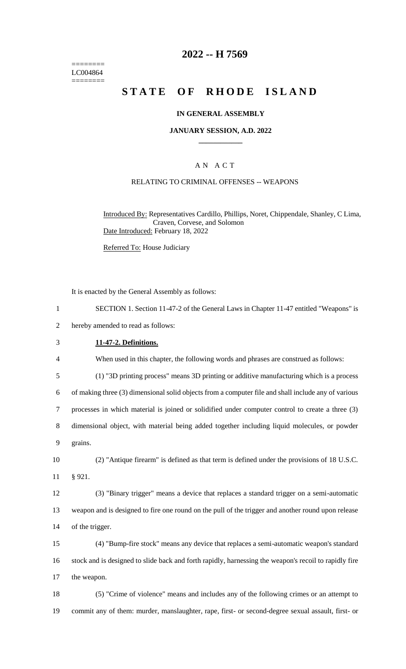======== LC004864 ========

# **2022 -- H 7569**

# **STATE OF RHODE ISLAND**

### **IN GENERAL ASSEMBLY**

#### **JANUARY SESSION, A.D. 2022 \_\_\_\_\_\_\_\_\_\_\_\_**

# A N A C T

### RELATING TO CRIMINAL OFFENSES -- WEAPONS

Introduced By: Representatives Cardillo, Phillips, Noret, Chippendale, Shanley, C Lima, Craven, Corvese, and Solomon Date Introduced: February 18, 2022

Referred To: House Judiciary

It is enacted by the General Assembly as follows:

| SECTION 1. Section 11-47-2 of the General Laws in Chapter 11-47 entitled "Weapons" is |  |
|---------------------------------------------------------------------------------------|--|
|---------------------------------------------------------------------------------------|--|

2 hereby amended to read as follows:

#### 3 **11-47-2. Definitions.**

4 When used in this chapter, the following words and phrases are construed as follows:

5 (1) "3D printing process" means 3D printing or additive manufacturing which is a process

6 of making three (3) dimensional solid objects from a computer file and shall include any of various

7 processes in which material is joined or solidified under computer control to create a three (3)

8 dimensional object, with material being added together including liquid molecules, or powder

9 grains.

10 (2) "Antique firearm" is defined as that term is defined under the provisions of 18 U.S.C. 11 § 921.

12 (3) "Binary trigger" means a device that replaces a standard trigger on a semi-automatic 13 weapon and is designed to fire one round on the pull of the trigger and another round upon release 14 of the trigger.

15 (4) "Bump-fire stock" means any device that replaces a semi-automatic weapon's standard 16 stock and is designed to slide back and forth rapidly, harnessing the weapon's recoil to rapidly fire 17 the weapon.

18 (5) "Crime of violence" means and includes any of the following crimes or an attempt to 19 commit any of them: murder, manslaughter, rape, first- or second-degree sexual assault, first- or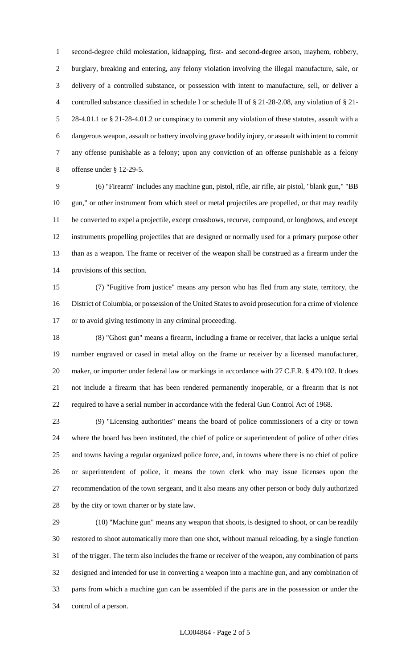second-degree child molestation, kidnapping, first- and second-degree arson, mayhem, robbery, burglary, breaking and entering, any felony violation involving the illegal manufacture, sale, or delivery of a controlled substance, or possession with intent to manufacture, sell, or deliver a controlled substance classified in schedule I or schedule II of § 21-28-2.08, any violation of § 21- 28-4.01.1 or § 21-28-4.01.2 or conspiracy to commit any violation of these statutes, assault with a dangerous weapon, assault or battery involving grave bodily injury, or assault with intent to commit any offense punishable as a felony; upon any conviction of an offense punishable as a felony offense under § 12-29-5.

 (6) "Firearm" includes any machine gun, pistol, rifle, air rifle, air pistol, "blank gun," "BB gun," or other instrument from which steel or metal projectiles are propelled, or that may readily be converted to expel a projectile, except crossbows, recurve, compound, or longbows, and except instruments propelling projectiles that are designed or normally used for a primary purpose other than as a weapon. The frame or receiver of the weapon shall be construed as a firearm under the provisions of this section.

 (7) "Fugitive from justice" means any person who has fled from any state, territory, the District of Columbia, or possession of the United States to avoid prosecution for a crime of violence or to avoid giving testimony in any criminal proceeding.

 (8) "Ghost gun" means a firearm, including a frame or receiver, that lacks a unique serial number engraved or cased in metal alloy on the frame or receiver by a licensed manufacturer, 20 maker, or importer under federal law or markings in accordance with 27 C.F.R. § 479.102. It does not include a firearm that has been rendered permanently inoperable, or a firearm that is not required to have a serial number in accordance with the federal Gun Control Act of 1968.

 (9) "Licensing authorities" means the board of police commissioners of a city or town where the board has been instituted, the chief of police or superintendent of police of other cities and towns having a regular organized police force, and, in towns where there is no chief of police or superintendent of police, it means the town clerk who may issue licenses upon the recommendation of the town sergeant, and it also means any other person or body duly authorized by the city or town charter or by state law.

 (10) "Machine gun" means any weapon that shoots, is designed to shoot, or can be readily restored to shoot automatically more than one shot, without manual reloading, by a single function of the trigger. The term also includes the frame or receiver of the weapon, any combination of parts designed and intended for use in converting a weapon into a machine gun, and any combination of parts from which a machine gun can be assembled if the parts are in the possession or under the control of a person.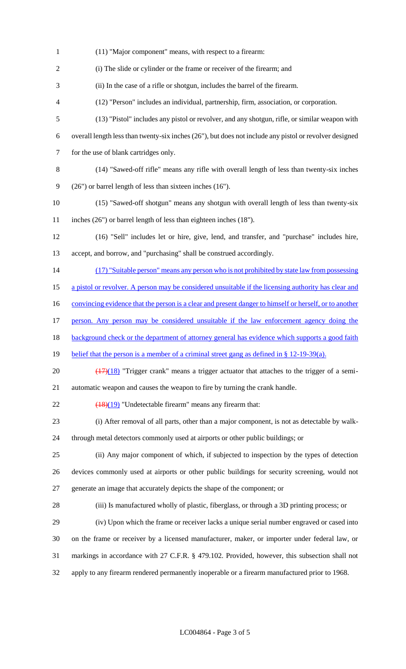(11) "Major component" means, with respect to a firearm: (i) The slide or cylinder or the frame or receiver of the firearm; and (ii) In the case of a rifle or shotgun, includes the barrel of the firearm. (12) "Person" includes an individual, partnership, firm, association, or corporation. (13) "Pistol" includes any pistol or revolver, and any shotgun, rifle, or similar weapon with overall length less than twenty-six inches (26"), but does not include any pistol or revolver designed for the use of blank cartridges only. (14) "Sawed-off rifle" means any rifle with overall length of less than twenty-six inches (26") or barrel length of less than sixteen inches (16"). (15) "Sawed-off shotgun" means any shotgun with overall length of less than twenty-six inches (26") or barrel length of less than eighteen inches (18"). (16) "Sell" includes let or hire, give, lend, and transfer, and "purchase" includes hire, accept, and borrow, and "purchasing" shall be construed accordingly. 14 (17) "Suitable person" means any person who is not prohibited by state law from possessing 15 a pistol or revolver. A person may be considered unsuitable if the licensing authority has clear and 16 convincing evidence that the person is a clear and present danger to himself or herself, or to another person. Any person may be considered unsuitable if the law enforcement agency doing the 18 background check or the department of attorney general has evidence which supports a good faith 19 belief that the person is a member of a criminal street gang as defined in § 12-19-39(a).  $\left(\frac{(17)(18)}{(17)(18)}\right)$  "Trigger crank" means a trigger actuator that attaches to the trigger of a semi- automatic weapon and causes the weapon to fire by turning the crank handle.  $\left(\frac{18}{19}\right)$  "Undetectable firearm" means any firearm that: (i) After removal of all parts, other than a major component, is not as detectable by walk- through metal detectors commonly used at airports or other public buildings; or (ii) Any major component of which, if subjected to inspection by the types of detection devices commonly used at airports or other public buildings for security screening, would not generate an image that accurately depicts the shape of the component; or (iii) Is manufactured wholly of plastic, fiberglass, or through a 3D printing process; or (iv) Upon which the frame or receiver lacks a unique serial number engraved or cased into on the frame or receiver by a licensed manufacturer, maker, or importer under federal law, or markings in accordance with 27 C.F.R. § 479.102. Provided, however, this subsection shall not apply to any firearm rendered permanently inoperable or a firearm manufactured prior to 1968.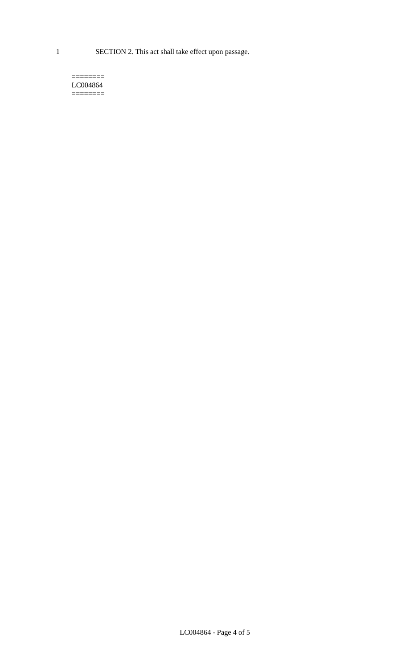1 SECTION 2. This act shall take effect upon passage.

#### $=$ LC004864  $=$